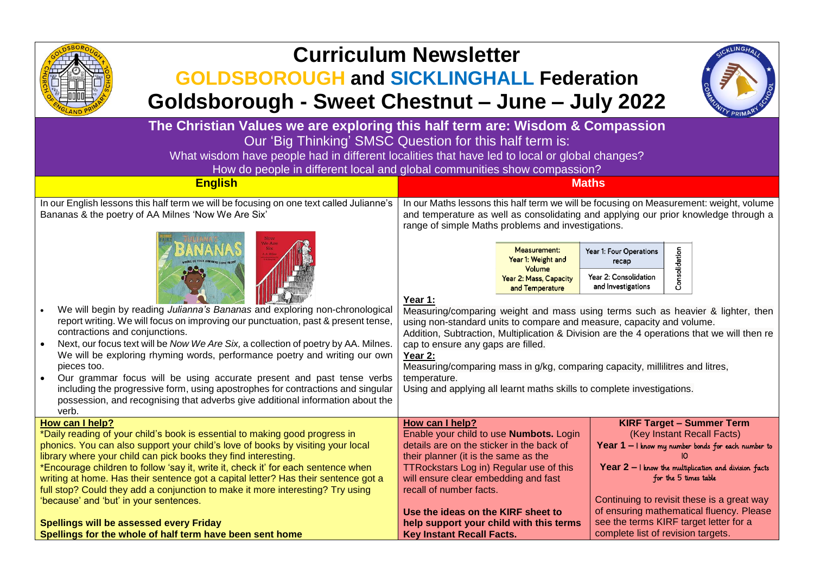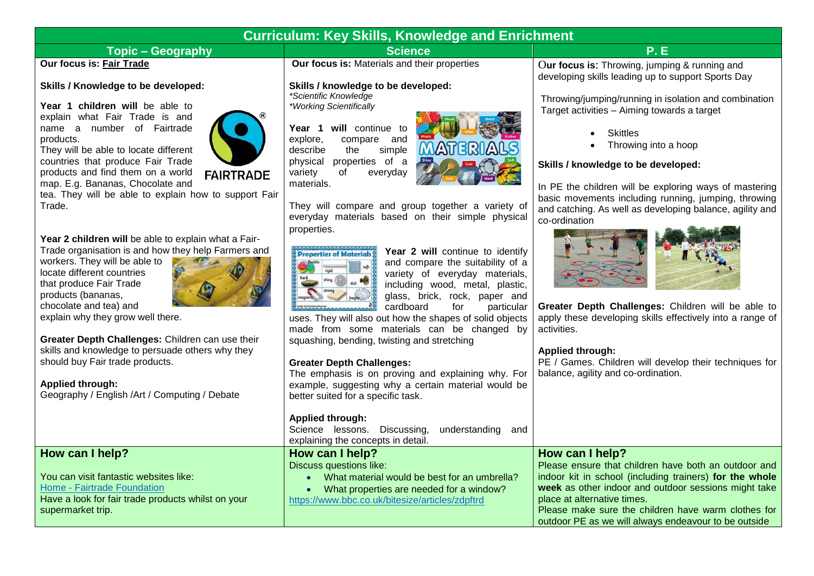# **Curriculum: Key Skills, Knowledge and Enrichment**

# **Topic – Geography Contract Contract Contract Contract Contract Contract Contract Contract Contract Contract Contract Contract Contract Contract Contract Contract Contract Contract Contract Contract Contract Contract Con**

## **Our focus is: Fair Trade**

#### **Skills / Knowledge to be developed:**

**Year 1 children will** be able to explain what Fair Trade is and name a number of Fairtrade products.

They will be able to locate different countries that produce Fair Trade products and find them on a world map. E.g. Bananas, Chocolate and



## **FAIRTRADE**

tea. They will be able to explain how to support Fair Trade.

**Year 2 children will** be able to explain what a Fair-Trade organisation is and how they help Farmers and

workers. They will be able to locate different countries that produce Fair Trade products (bananas, chocolate and tea) and



explain why they grow well there.

**Greater Depth Challenges:** Children can use their skills and knowledge to persuade others why they should buy Fair trade products.

#### **Applied through:**

**How can I help?**

supermarket trip.

Geography / English /Art / Computing / Debate

Have a look for fair trade products whilst on your

You can visit fantastic websites like: Home - [Fairtrade Foundation](https://www.fairtrade.org.uk/)

**Our focus is:** Materials and their properties

#### **Skills / knowledge to be developed:**

*\*Scientific Knowledge \*Working Scientifically*

**Year 1 will** continue to explore, compare and compare and<br>the simple describe the physical properties of a variety of everyday materials.



They will compare and group together a variety of everyday materials based on their simple physical properties.



Year 2 will continue to identify and compare the suitability of a variety of everyday materials, including wood, metal, plastic, glass, brick, rock, paper and cardboard for particular

uses. They will also out how the shapes of solid objects made from some materials can be changed by squashing, bending, twisting and stretching

#### **Greater Depth Challenges:**

The emphasis is on proving and explaining why. For example, suggesting why a certain material would be better suited for a specific task.

#### **Applied through:**

Science lessons. Discussing, understanding and explaining the concepts in detail.

#### **How can I help?** Discuss questions like:

- - What material would be best for an umbrella?
	- What properties are needed for a window?

<https://www.bbc.co.uk/bitesize/articles/zdpftrd>

O**ur focus is**: Throwing, jumping & running and developing skills leading up to support Sports Day

Throwing/jumping/running in isolation and combination Target activities – Aiming towards a target

- **Skittles**
- Throwing into a hoop

## **Skills / knowledge to be developed:**

In PE the children will be exploring ways of mastering basic movements including running, jumping, throwing and catching. As well as developing balance, agility and co-ordination



**Greater Depth Challenges:** Children will be able to apply these developing skills effectively into a range of activities.

### **Applied through:**

PE / Games. Children will develop their techniques for balance, agility and co-ordination.

# **How can I help?**

Please ensure that children have both an outdoor and indoor kit in school (including trainers) **for the whole week** as other indoor and outdoor sessions might take place at alternative times. Please make sure the children have warm clothes for

outdoor PE as we will always endeavour to be outside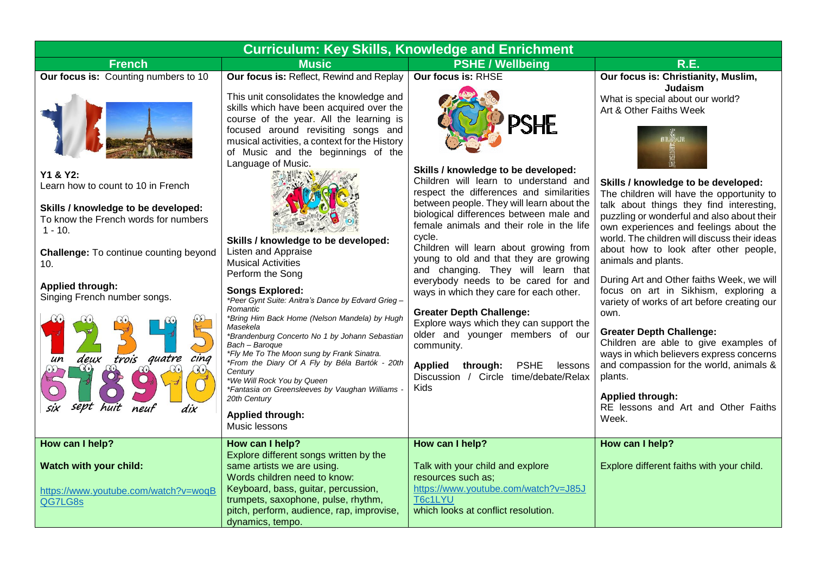| <b>Curriculum: Key Skills, Knowledge and Enrichment</b>                                                                                                                                                                                                                                                                                                                                       |                                                                                                                                                                                                                                                                                                                                                                                                                                                                                                                                                                                                                                                                                                                                                                                                                                                                                                                                     |                                                                                                                                                                                                                                                                                                                                                                                                                                                                                                                                                                                                                                                                                                                                                                   |                                                                                                                                                                                                                                                                                                                                                                                                                                                                                                                                                                                                                                                                                                                                                                                                                                                            |  |
|-----------------------------------------------------------------------------------------------------------------------------------------------------------------------------------------------------------------------------------------------------------------------------------------------------------------------------------------------------------------------------------------------|-------------------------------------------------------------------------------------------------------------------------------------------------------------------------------------------------------------------------------------------------------------------------------------------------------------------------------------------------------------------------------------------------------------------------------------------------------------------------------------------------------------------------------------------------------------------------------------------------------------------------------------------------------------------------------------------------------------------------------------------------------------------------------------------------------------------------------------------------------------------------------------------------------------------------------------|-------------------------------------------------------------------------------------------------------------------------------------------------------------------------------------------------------------------------------------------------------------------------------------------------------------------------------------------------------------------------------------------------------------------------------------------------------------------------------------------------------------------------------------------------------------------------------------------------------------------------------------------------------------------------------------------------------------------------------------------------------------------|------------------------------------------------------------------------------------------------------------------------------------------------------------------------------------------------------------------------------------------------------------------------------------------------------------------------------------------------------------------------------------------------------------------------------------------------------------------------------------------------------------------------------------------------------------------------------------------------------------------------------------------------------------------------------------------------------------------------------------------------------------------------------------------------------------------------------------------------------------|--|
| <b>French</b>                                                                                                                                                                                                                                                                                                                                                                                 | <b>Music</b>                                                                                                                                                                                                                                                                                                                                                                                                                                                                                                                                                                                                                                                                                                                                                                                                                                                                                                                        | <b>PSHE / Wellbeing</b>                                                                                                                                                                                                                                                                                                                                                                                                                                                                                                                                                                                                                                                                                                                                           | <b>R.E.</b>                                                                                                                                                                                                                                                                                                                                                                                                                                                                                                                                                                                                                                                                                                                                                                                                                                                |  |
| Our focus is: Counting numbers to 10<br>Y1 & Y2:<br>Learn how to count to 10 in French<br>Skills / knowledge to be developed:<br>To know the French words for numbers<br>$1 - 10.$<br><b>Challenge: To continue counting beyond</b><br>10.<br><b>Applied through:</b><br>Singing French number songs.<br>trois quatre<br>$c$ ing<br>deux<br>un<br>$\mathbb{C}$<br>sept<br>neuf<br>huit<br>dix | Our focus is: Reflect, Rewind and Replay<br>This unit consolidates the knowledge and<br>skills which have been acquired over the<br>course of the year. All the learning is<br>focused around revisiting songs and<br>musical activities, a context for the History<br>of Music and the beginnings of the<br>Language of Music.<br>Skills / knowledge to be developed:<br>Listen and Appraise<br><b>Musical Activities</b><br>Perform the Song<br><b>Songs Explored:</b><br>*Peer Gynt Suite: Anitra's Dance by Edvard Grieg -<br>Romantic<br>*Bring Him Back Home (Nelson Mandela) by Hugh<br>Masekela<br>*Brandenburg Concerto No 1 by Johann Sebastian<br>Bach - Baroque<br>*Fly Me To The Moon sung by Frank Sinatra.<br>*From the Diary Of A Fly by Béla Bartók - 20th<br>Century<br>*We Will Rock You by Queen<br>*Fantasia on Greensleeves by Vaughan Williams -<br>20th Century<br><b>Applied through:</b><br>Music lessons | Our focus is: RHSE<br>PSHE<br>Skills / knowledge to be developed:<br>Children will learn to understand and<br>respect the differences and similarities<br>between people. They will learn about the<br>biological differences between male and<br>female animals and their role in the life<br>cycle.<br>Children will learn about growing from<br>young to old and that they are growing<br>and changing. They will learn that<br>everybody needs to be cared for and<br>ways in which they care for each other.<br><b>Greater Depth Challenge:</b><br>Explore ways which they can support the<br>older and younger members of our<br>community.<br><b>PSHE</b><br><b>Applied</b><br>through:<br>lessons<br>Discussion / Circle time/debate/Relax<br><b>Kids</b> | Our focus is: Christianity, Muslim,<br>Judaism<br>What is special about our world?<br>Art & Other Faiths Week<br>Skills / knowledge to be developed:<br>The children will have the opportunity to<br>talk about things they find interesting,<br>puzzling or wonderful and also about their<br>own experiences and feelings about the<br>world. The children will discuss their ideas<br>about how to look after other people,<br>animals and plants.<br>During Art and Other faiths Week, we will<br>focus on art in Sikhism, exploring a<br>variety of works of art before creating our<br>own.<br><b>Greater Depth Challenge:</b><br>Children are able to give examples of<br>ways in which believers express concerns<br>and compassion for the world, animals &<br>plants.<br><b>Applied through:</b><br>RE lessons and Art and Other Faiths<br>Week. |  |
| How can I help?<br>Watch with your child:<br>https://www.youtube.com/watch?v=woqB<br>QG7LG8s                                                                                                                                                                                                                                                                                                  | How can I help?<br>Explore different songs written by the<br>same artists we are using.<br>Words children need to know:<br>Keyboard, bass, guitar, percussion,<br>trumpets, saxophone, pulse, rhythm,<br>pitch, perform, audience, rap, improvise,<br>dynamics, tempo.                                                                                                                                                                                                                                                                                                                                                                                                                                                                                                                                                                                                                                                              | How can I help?<br>Talk with your child and explore<br>resources such as;<br>https://www.youtube.com/watch?v=J85J<br>T6c1LYU<br>which looks at conflict resolution.                                                                                                                                                                                                                                                                                                                                                                                                                                                                                                                                                                                               | How can I help?<br>Explore different faiths with your child.                                                                                                                                                                                                                                                                                                                                                                                                                                                                                                                                                                                                                                                                                                                                                                                               |  |